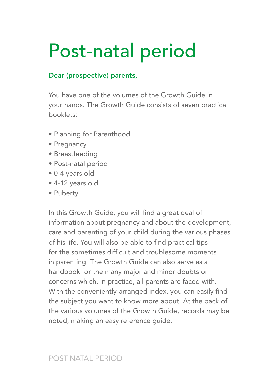# Post-natal period

# Dear (prospective) parents,

You have one of the volumes of the Growth Guide in your hands. The Growth Guide consists of seven practical booklets:

- Planning for Parenthood
- Pregnancy
- Breastfeeding
- Post-natal period
- 0-4 years old
- 4-12 years old
- Puberty

In this Growth Guide, you will find a great deal of information about pregnancy and about the development, care and parenting of your child during the various phases of his life. You will also be able to find practical tips for the sometimes difficult and troublesome moments in parenting. The Growth Guide can also serve as a handbook for the many major and minor doubts or concerns which, in practice, all parents are faced with. With the conveniently-arranged index, you can easily find the subject you want to know more about. At the back of the various volumes of the Growth Guide, records may be noted, making an easy reference guide.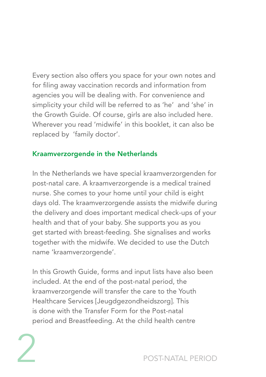Every section also offers you space for your own notes and for filing away vaccination records and information from agencies you will be dealing with. For convenience and simplicity your child will be referred to as 'he' and 'she' in the Growth Guide. Of course, girls are also included here. Wherever you read 'midwife' in this booklet, it can also be replaced by 'family doctor'.

### Kraamverzorgende in the Netherlands

In the Netherlands we have special kraamverzorgenden for post-natal care. A kraamverzorgende is a medical trained nurse. She comes to your home until your child is eight days old. The kraamverzorgende assists the midwife during the delivery and does important medical check-ups of your health and that of your baby. She supports you as you get started with breast-feeding. She signalises and works together with the midwife. We decided to use the Dutch name 'kraamverzorgende'.

In this Growth Guide, forms and input lists have also been included. At the end of the post-natal period, the kraamverzorgende will transfer the care to the Youth Healthcare Services [Jeugdgezondheidszorg]. This is done with the Transfer Form for the Post-natal period and Breastfeeding. At the child health centre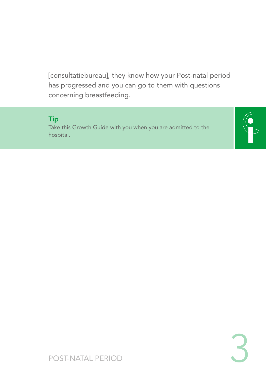[consultatiebureau], they know how your Post-natal period has progressed and you can go to them with questions concerning breastfeeding.

# **Tip**

Take this Growth Guide with you when you are admitted to the hospital.

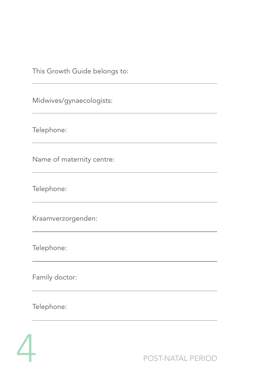This Growth Guide belongs to:

Midwives/gynaecologists:

Telephone:

Name of maternity centre:

Telephone:

Kraamverzorgenden:

Telephone:

Family doctor:

Telephone:

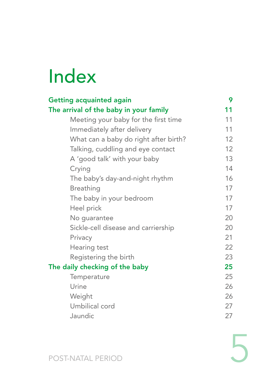# Index

| <b>Getting acquainted again</b>        | 9  |
|----------------------------------------|----|
| The arrival of the baby in your family | 11 |
| Meeting your baby for the first time   | 11 |
| Immediately after delivery             | 11 |
| What can a baby do right after birth?  | 12 |
| Talking, cuddling and eye contact      | 12 |
| A 'good talk' with your baby           | 13 |
| Crying                                 | 14 |
| The baby's day-and-night rhythm        | 16 |
| Breathing                              | 17 |
| The baby in your bedroom               | 17 |
| Heel prick                             | 17 |
| No guarantee                           | 20 |
| Sickle-cell disease and carriership    | 20 |
| Privacy                                | 21 |
| Hearing test                           | 22 |
| Registering the birth                  | 23 |
| The daily checking of the baby         | 25 |
| Temperature                            | 25 |
| Urine                                  | 26 |
| Weight                                 | 26 |
| Umbilical cord                         | 27 |
| Jaundic                                | 27 |

POST-NATAL PERIOD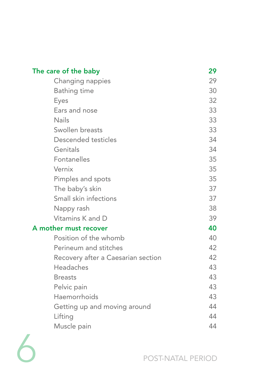| The care of the baby               | 29 |
|------------------------------------|----|
| Changing nappies                   | 29 |
| Bathing time                       | 30 |
| Eyes                               | 32 |
| Ears and nose                      | 33 |
| <b>Nails</b>                       | 33 |
| Swollen breasts                    | 33 |
| Descended testicles                | 34 |
| Genitals                           | 34 |
| Fontanelles                        | 35 |
| Vernix                             | 35 |
| Pimples and spots                  | 35 |
| The baby's skin                    | 37 |
| Small skin infections              | 37 |
| Nappy rash                         | 38 |
| Vitamins K and D                   | 39 |
| A mother must recover              | 40 |
| Position of the whomb              | 40 |
| Perineum and stitches              | 42 |
| Recovery after a Caesarian section | 42 |
| Headaches                          | 43 |
| <b>Breasts</b>                     | 43 |
| Pelvic pain                        | 43 |
| Haemorrhoids                       | 43 |
| Getting up and moving around       | 44 |
| Lifting                            | 44 |
| Muscle pain                        | 44 |

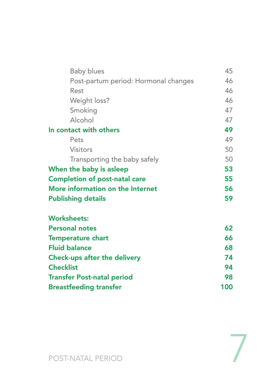| <b>Baby blues</b>                                                        | 45  |
|--------------------------------------------------------------------------|-----|
| Post-partum period: Hormonal changes                                     | 46  |
| Rest                                                                     | 46  |
| Weight loss?                                                             | 46  |
| Smoking                                                                  | 47  |
| Alcohol                                                                  | 47  |
| In contact with others                                                   | 49  |
| Pets                                                                     | 49  |
| <b>Visitors</b>                                                          | 50  |
| Transporting the baby safely                                             | 50  |
| When the baby is asleep                                                  | 53  |
| <b>Completion of post-natal care</b><br>More information on the Internet | 55  |
|                                                                          | 56  |
| <b>Publishing details</b>                                                | 59  |
| <b>Worksheets:</b>                                                       |     |
| <b>Personal notes</b>                                                    | 62  |
| <b>Temperature chart</b>                                                 | 66  |
| <b>Fluid balance</b>                                                     | 68  |
| <b>Check-ups after the delivery</b>                                      | 74  |
| <b>Checklist</b>                                                         | 94  |
| <b>Transfer Post-natal period</b>                                        | 98  |
| <b>Breastfeeding transfer</b>                                            | 100 |
|                                                                          |     |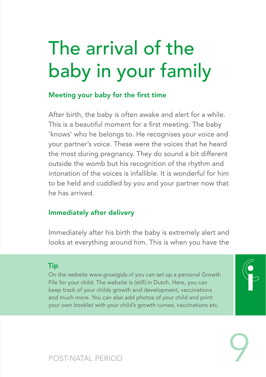# The arrival of the baby in your family

### Meeting your baby for the first time

After birth, the baby is often awake and alert for a while. This is a beautiful moment for a first meeting. The baby 'knows' who he belongs to. He recognises your voice and your partner's voice. These were the voices that he heard the most during pregnancy. They do sound a bit different outside the womb but his recognition of the rhythm and intonation of the voices is infallible. It is wonderful for him to be held and cuddled by you and your partner now that he has arrived.

### Immediately after delivery

Immediately after his birth the baby is extremely alert and looks at everything around him. This is when you have the

#### Tip

On the website www.groeigids.nl you can set up a personal Growth File for your child. The website is (still) in Dutch. Here, you can keep track of your childs growth and development, vaccinations and much more. You can also add photos of your child and print your own booklet with your child's growth curves, vaccinations etc.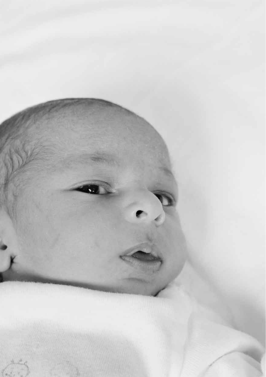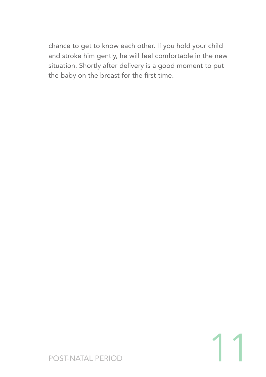chance to get to know each other. If you hold your child and stroke him gently, he will feel comfortable in the new situation. Shortly after delivery is a good moment to put the baby on the breast for the first time.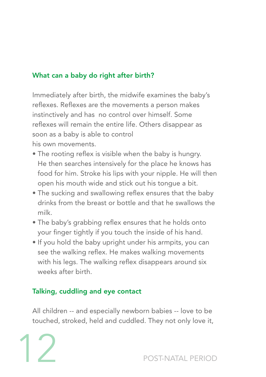# What can a baby do right after birth?

Immediately after birth, the midwife examines the baby's reflexes. Reflexes are the movements a person makes instinctively and has no control over himself. Some reflexes will remain the entire life. Others disappear as soon as a baby is able to control his own movements.

- The rooting reflex is visible when the baby is hungry. He then searches intensively for the place he knows has food for him. Stroke his lips with your nipple. He will then open his mouth wide and stick out his tongue a bit.
- The sucking and swallowing reflex ensures that the baby drinks from the breast or bottle and that he swallows the milk.
- The baby's grabbing reflex ensures that he holds onto your finger tightly if you touch the inside of his hand.
- If you hold the baby upright under his armpits, you can see the walking reflex. He makes walking movements with his legs. The walking reflex disappears around six weeks after birth.

# Talking, cuddling and eye contact

All children -- and especially newborn babies -- love to be touched, stroked, held and cuddled. They not only love it,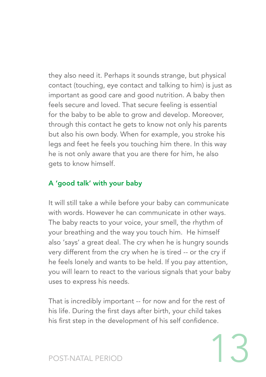they also need it. Perhaps it sounds strange, but physical contact (touching, eye contact and talking to him) is just as important as good care and good nutrition. A baby then feels secure and loved. That secure feeling is essential for the baby to be able to grow and develop. Moreover, through this contact he gets to know not only his parents but also his own body. When for example, you stroke his legs and feet he feels you touching him there. In this way he is not only aware that you are there for him, he also gets to know himself.

# A 'good talk' with your baby

It will still take a while before your baby can communicate with words. However he can communicate in other ways. The baby reacts to your voice, your smell, the rhythm of your breathing and the way you touch him. He himself also 'says' a great deal. The cry when he is hungry sounds very different from the cry when he is tired -- or the cry if he feels lonely and wants to be held. If you pay attention, you will learn to react to the various signals that your baby uses to express his needs.

That is incredibly important -- for now and for the rest of his life. During the first days after birth, your child takes his first step in the development of his self confidence.

POST-NATAL PERIOD 13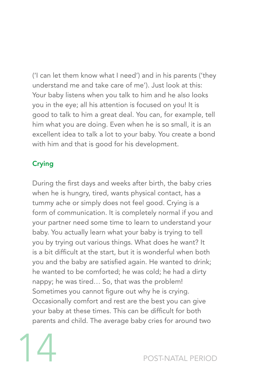('I can let them know what I need') and in his parents ('they understand me and take care of me'). Just look at this: Your baby listens when you talk to him and he also looks you in the eye; all his attention is focused on you! It is good to talk to him a great deal. You can, for example, tell him what you are doing. Even when he is so small, it is an excellent idea to talk a lot to your baby. You create a bond with him and that is good for his development.

# **Crying**

During the first days and weeks after birth, the baby cries when he is hungry, tired, wants physical contact, has a tummy ache or simply does not feel good. Crying is a form of communication. It is completely normal if you and your partner need some time to learn to understand your baby. You actually learn what your baby is trying to tell you by trying out various things. What does he want? It is a bit difficult at the start, but it is wonderful when both you and the baby are satisfied again. He wanted to drink; he wanted to be comforted; he was cold; he had a dirty nappy; he was tired… So, that was the problem! Sometimes you cannot figure out why he is crying. Occasionally comfort and rest are the best you can give your baby at these times. This can be difficult for both parents and child. The average baby cries for around two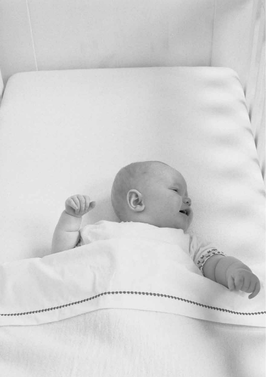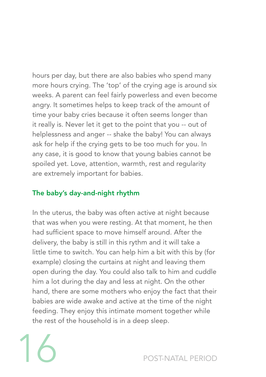hours per day, but there are also babies who spend many more hours crying. The 'top' of the crying age is around six weeks. A parent can feel fairly powerless and even become angry. It sometimes helps to keep track of the amount of time your baby cries because it often seems longer than it really is. Never let it get to the point that you -- out of helplessness and anger -- shake the baby! You can always ask for help if the crying gets to be too much for you. In any case, it is good to know that young babies cannot be spoiled yet. Love, attention, warmth, rest and regularity are extremely important for babies.

### The baby's day-and-night rhythm

In the uterus, the baby was often active at night because that was when you were resting. At that moment, he then had sufficient space to move himself around. After the delivery, the baby is still in this rythm and it will take a little time to switch. You can help him a bit with this by (for example) closing the curtains at night and leaving them open during the day. You could also talk to him and cuddle him a lot during the day and less at night. On the other hand, there are some mothers who enjoy the fact that their babies are wide awake and active at the time of the night feeding. They enjoy this intimate moment together while the rest of the household is in a deep sleep.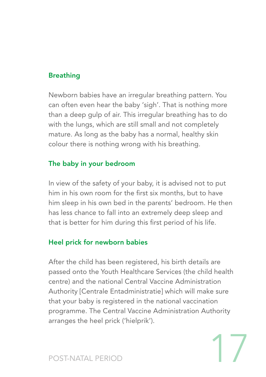# Breathing

Newborn babies have an irregular breathing pattern. You can often even hear the baby 'sigh'. That is nothing more than a deep gulp of air. This irregular breathing has to do with the lungs, which are still small and not completely mature. As long as the baby has a normal, healthy skin colour there is nothing wrong with his breathing.

# The baby in your bedroom

In view of the safety of your baby, it is advised not to put him in his own room for the first six months, but to have him sleep in his own bed in the parents' bedroom. He then has less chance to fall into an extremely deep sleep and that is better for him during this first period of his life.

# Heel prick for newborn babies

After the child has been registered, his birth details are passed onto the Youth Healthcare Services (the child health centre) and the national Central Vaccine Administration Authority [Centrale Entadministratie] which will make sure that your baby is registered in the national vaccination programme. The Central Vaccine Administration Authority arranges the heel prick ('hielprik').

POST-NATAL PERIOD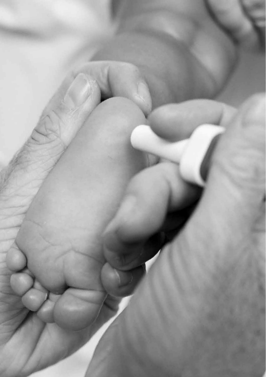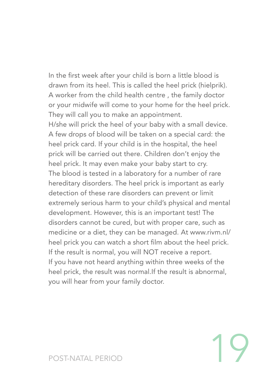In the first week after your child is born a little blood is drawn from its heel. This is called the heel prick (hielprik). A worker from the child health centre , the family doctor or your midwife will come to your home for the heel prick. They will call you to make an appointment.

H/she will prick the heel of your baby with a small device. A few drops of blood will be taken on a special card: the heel prick card. If your child is in the hospital, the heel prick will be carried out there. Children don't enjoy the heel prick. It may even make your baby start to cry. The blood is tested in a laboratory for a number of rare hereditary disorders. The heel prick is important as early detection of these rare disorders can prevent or limit extremely serious harm to your child's physical and mental development. However, this is an important test! The disorders cannot be cured, but with proper care, such as medicine or a diet, they can be managed. At www.rivm.nl/ heel prick you can watch a short film about the heel prick. If the result is normal, you will NOT receive a report. If you have not heard anything within three weeks of the heel prick, the result was normal.If the result is abnormal, you will hear from your family doctor.